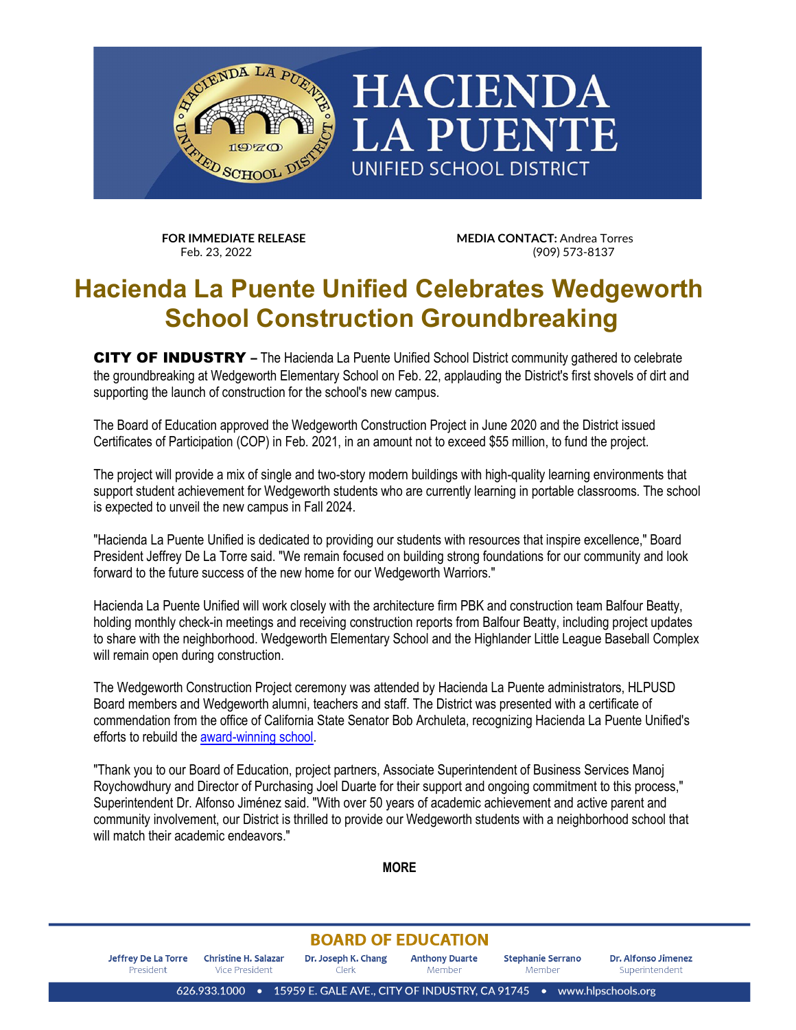

**FOR IMMEDIATE RELEASE MEDIA CONTACT:** Andrea Torres<br>Feb. 23. 2022 (909) 573-8137

## **Hacienda La Puente Unified Celebrates Wedgeworth School Construction Groundbreaking**

CITY OF INDUSTRY **–** The Hacienda La Puente Unified School District community gathered to celebrate the groundbreaking at Wedgeworth Elementary School on Feb. 22, applauding the District's first shovels of dirt and supporting the launch of construction for the school's new campus.

The Board of Education approved the Wedgeworth Construction Project in June 2020 and the District issued Certificates of Participation (COP) in Feb. 2021, in an amount not to exceed \$55 million, to fund the project.

The project will provide a mix of single and two-story modern buildings with high-quality learning environments that support student achievement for Wedgeworth students who are currently learning in portable classrooms. The school is expected to unveil the new campus in Fall 2024.

"Hacienda La Puente Unified is dedicated to providing our students with resources that inspire excellence," Board President Jeffrey De La Torre said. "We remain focused on building strong foundations for our community and look forward to the future success of the new home for our Wedgeworth Warriors."

Hacienda La Puente Unified will work closely with the architecture firm PBK and construction team Balfour Beatty, holding monthly check-in meetings and receiving construction reports from Balfour Beatty, including project updates to share with the neighborhood. Wedgeworth Elementary School and the Highlander Little League Baseball Complex will remain open during construction.

The Wedgeworth Construction Project ceremony was attended by Hacienda La Puente administrators, HLPUSD Board members and Wedgeworth alumni, teachers and staff. The District was presented with a certificate of commendation from the office of California State Senator Bob Archuleta, recognizing Hacienda La Puente Unified's efforts to rebuild the [award-winning school.](https://wes-hlpusd-ca.schoolloop.com/schoolbrochure)

"Thank you to our Board of Education, project partners, Associate Superintendent of Business Services Manoj Roychowdhury and Director of Purchasing Joel Duarte for their support and ongoing commitment to this process," Superintendent Dr. Alfonso Jiménez said. "With over 50 years of academic achievement and active parent and community involvement, our District is thrilled to provide our Wedgeworth students with a neighborhood school that will match their academic endeavors."

**MORE**

## **BOARD OF EDUCATION**

**Jeffrey De La Torre Christine H. Salazar** Dr. Joseph K. Chang **Anthony Duarte Stephanie Serrano** Dr. Alfonso Jimenez Superintendent President Vice President Clerk Member Member